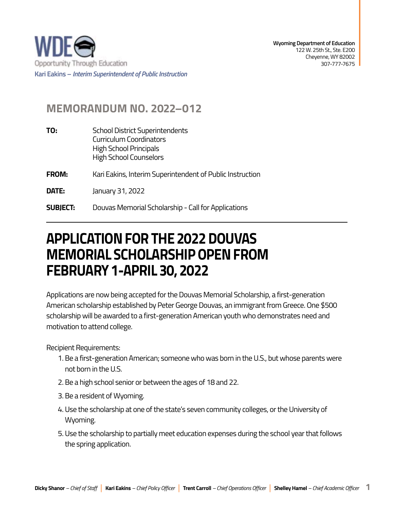

## **MEMORANDUM NO. 2022–012**

| TO:             | <b>School District Superintendents</b><br><b>Curriculum Coordinators</b><br>High School Principals<br><b>High School Counselors</b> |
|-----------------|-------------------------------------------------------------------------------------------------------------------------------------|
| <b>FROM:</b>    | Kari Eakins, Interim Superintendent of Public Instruction                                                                           |
| DATE:           | January 31, 2022                                                                                                                    |
| <b>SUBJECT:</b> | Douvas Memorial Scholarship - Call for Applications                                                                                 |

## **APPLICATION FOR THE 2022 DOUVAS MEMORIAL SCHOLARSHIP OPEN FROM FEBRUARY 1-APRIL 30, 2022**

Applications are now being accepted for the Douvas Memorial Scholarship, a first-generation American scholarship established by Peter George Douvas, an immigrant from Greece. One \$500 scholarship will be awarded to a first-generation American youth who demonstrates need and motivation to attend college.

Recipient Requirements:

- 1. Be a first-generation American; someone who was born in the U.S., but whose parents were not born in the U.S.
- 2. Be a high school senior or between the ages of 18 and 22.
- 3. Be a resident of Wyoming.
- 4. Use the scholarship at one of the state's seven community colleges, or the University of Wyoming.
- 5. Use the scholarship to partially meet education expenses during the school year that follows the spring application.